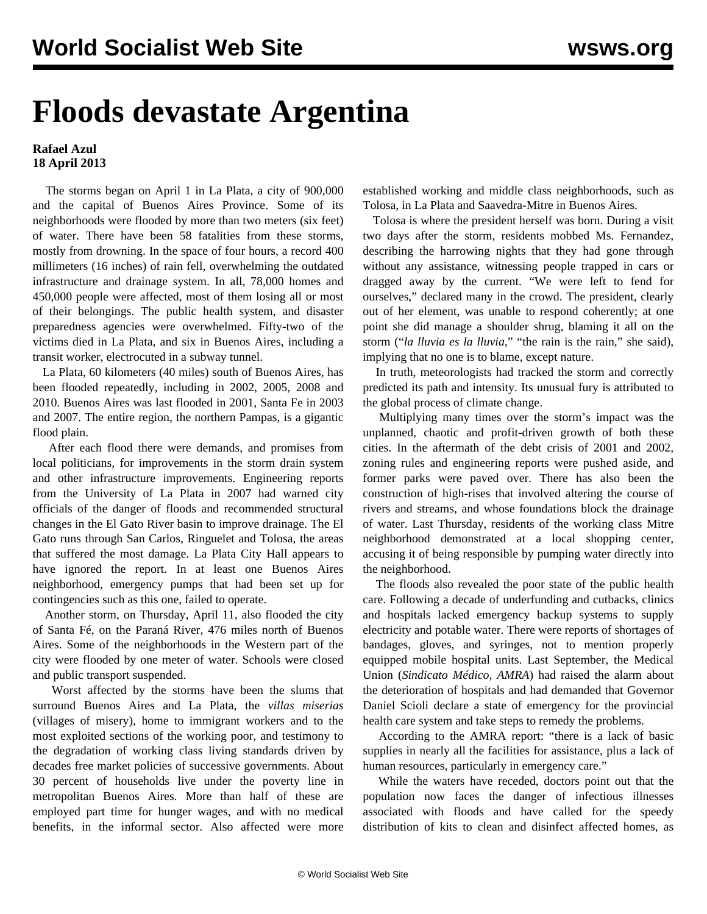## **Floods devastate Argentina**

## **Rafael Azul 18 April 2013**

 The storms began on April 1 in La Plata, a city of 900,000 and the capital of Buenos Aires Province. Some of its neighborhoods were flooded by more than two meters (six feet) of water. There have been 58 fatalities from these storms, mostly from drowning. In the space of four hours, a record 400 millimeters (16 inches) of rain fell, overwhelming the outdated infrastructure and drainage system. In all, 78,000 homes and 450,000 people were affected, most of them losing all or most of their belongings. The public health system, and disaster preparedness agencies were overwhelmed. Fifty-two of the victims died in La Plata, and six in Buenos Aires, including a transit worker, electrocuted in a subway tunnel.

 La Plata, 60 kilometers (40 miles) south of Buenos Aires, has been flooded repeatedly, including in 2002, 2005, 2008 and 2010. Buenos Aires was last flooded in 2001, Santa Fe in 2003 and 2007. The entire region, the northern Pampas, is a gigantic flood plain.

 After each flood there were demands, and promises from local politicians, for improvements in the storm drain system and other infrastructure improvements. Engineering reports from the University of La Plata in 2007 had warned city officials of the danger of floods and recommended structural changes in the El Gato River basin to improve drainage. The El Gato runs through San Carlos, Ringuelet and Tolosa, the areas that suffered the most damage. La Plata City Hall appears to have ignored the report. In at least one Buenos Aires neighborhood, emergency pumps that had been set up for contingencies such as this one, failed to operate.

 Another storm, on Thursday, April 11, also flooded the city of Santa Fé, on the Paraná River, 476 miles north of Buenos Aires. Some of the neighborhoods in the Western part of the city were flooded by one meter of water. Schools were closed and public transport suspended.

 Worst affected by the storms have been the slums that surround Buenos Aires and La Plata, the *villas miserias* (villages of misery), home to immigrant workers and to the most exploited sections of the working poor, and testimony to the degradation of working class living standards driven by decades free market policies of successive governments. About 30 percent of households live under the poverty line in metropolitan Buenos Aires. More than half of these are employed part time for hunger wages, and with no medical benefits, in the informal sector. Also affected were more

established working and middle class neighborhoods, such as Tolosa, in La Plata and Saavedra-Mitre in Buenos Aires.

 Tolosa is where the president herself was born. During a visit two days after the storm, residents mobbed Ms. Fernandez, describing the harrowing nights that they had gone through without any assistance, witnessing people trapped in cars or dragged away by the current. "We were left to fend for ourselves," declared many in the crowd. The president, clearly out of her element, was unable to respond coherently; at one point she did manage a shoulder shrug, blaming it all on the storm ("*la lluvia es la lluvia*," "the rain is the rain," she said), implying that no one is to blame, except nature.

 In truth, meteorologists had tracked the storm and correctly predicted its path and intensity. Its unusual fury is attributed to the global process of climate change.

 Multiplying many times over the storm's impact was the unplanned, chaotic and profit-driven growth of both these cities. In the aftermath of the debt crisis of 2001 and 2002, zoning rules and engineering reports were pushed aside, and former parks were paved over. There has also been the construction of high-rises that involved altering the course of rivers and streams, and whose foundations block the drainage of water. Last Thursday, residents of the working class Mitre neighborhood demonstrated at a local shopping center, accusing it of being responsible by pumping water directly into the neighborhood.

 The floods also revealed the poor state of the public health care. Following a decade of underfunding and cutbacks, clinics and hospitals lacked emergency backup systems to supply electricity and potable water. There were reports of shortages of bandages, gloves, and syringes, not to mention properly equipped mobile hospital units. Last September, the Medical Union (*Sindicato Médico, AMRA*) had raised the alarm about the deterioration of hospitals and had demanded that Governor Daniel Scioli declare a state of emergency for the provincial health care system and take steps to remedy the problems.

 According to the AMRA report: "there is a lack of basic supplies in nearly all the facilities for assistance, plus a lack of human resources, particularly in emergency care."

 While the waters have receded, doctors point out that the population now faces the danger of infectious illnesses associated with floods and have called for the speedy distribution of kits to clean and disinfect affected homes, as